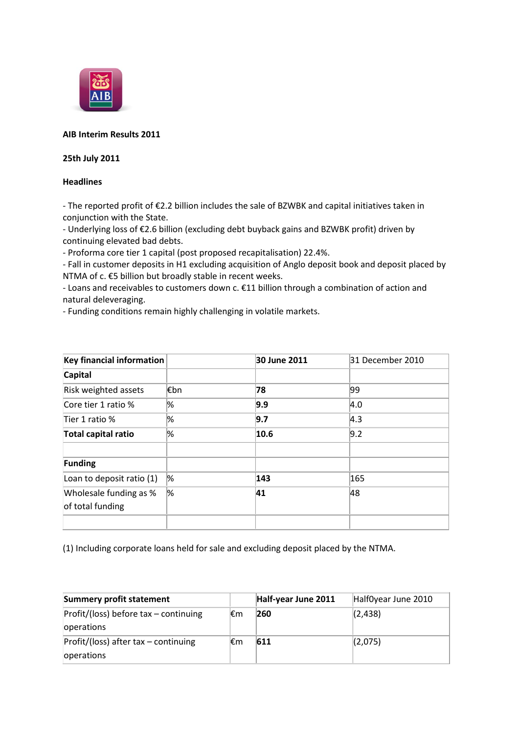

# **AIB Interim Results 2011**

## **25th July 2011**

## **Headlines**

- The reported profit of €2.2 billion includes the sale of BZWBK and capital initiatives taken in conjunction with the State.

- Underlying loss of €2.6 billion (excluding debt buyback gains and BZWBK profit) driven by continuing elevated bad debts.

- Proforma core tier 1 capital (post proposed recapitalisation) 22.4%.

- Fall in customer deposits in H1 excluding acquisition of Anglo deposit book and deposit placed by NTMA of c. €5 billion but broadly stable in recent weeks.

- Loans and receivables to customers down c. €11 billion through a combination of action and natural deleveraging.

- Funding conditions remain highly challenging in volatile markets.

| <b>Key financial information</b> |      | 30 June 2011 | 31 December 2010 |
|----------------------------------|------|--------------|------------------|
| <b>Capital</b>                   |      |              |                  |
| Risk weighted assets             | l€bn | 78           | 99               |
| Core tier 1 ratio %              | %    | 9.9          | 4.0              |
| Tier 1 ratio %                   | %    | 9.7          | $ 4.3\rangle$    |
| Total capital ratio              | %    | 10.6         | 9.2              |
|                                  |      |              |                  |
| <b>Funding</b>                   |      |              |                  |
| Loan to deposit ratio (1)        | %    | 143          | 165              |
| Wholesale funding as %           | %    | 41           | 48               |
| of total funding                 |      |              |                  |
|                                  |      |              |                  |

(1) Including corporate loans held for sale and excluding deposit placed by the NTMA.

| <b>Summery profit statement</b>                       |     | Half-year June 2011 | Half0year June 2010 |
|-------------------------------------------------------|-----|---------------------|---------------------|
| Profit/(loss) before tax - continuing<br>operations   | l€m | 260                 | (2, 438)            |
| $Protit/$ (loss) after tax – continuing<br>operations | ⊩€m | 611                 | (2,075)             |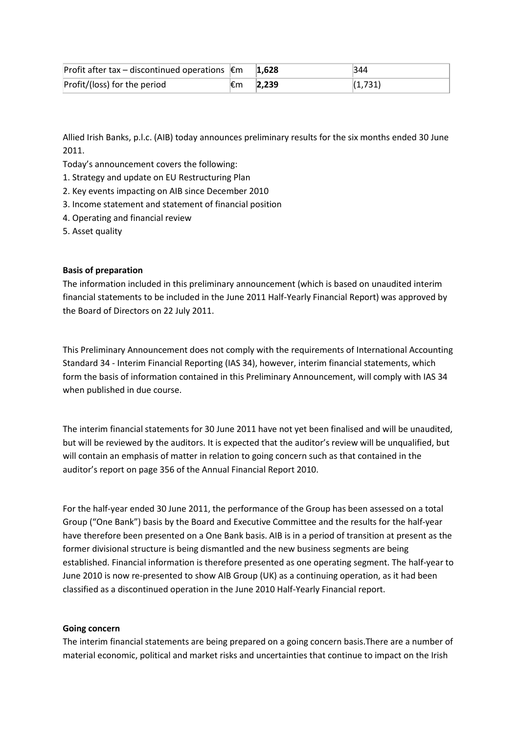| Profit after tax – discontinued operations $€m$ |     | 1.628 | 344     |
|-------------------------------------------------|-----|-------|---------|
| Profit/(loss) for the period                    | l€m | 2.239 | (1,731) |

Allied Irish Banks, p.l.c. (AIB) today announces preliminary results for the six months ended 30 June 2011.

Today's announcement covers the following:

1. Strategy and update on EU Restructuring Plan

- 2. Key events impacting on AIB since December 2010
- 3. Income statement and statement of financial position
- 4. Operating and financial review
- 5. Asset quality

### **Basis of preparation**

The information included in this preliminary announcement (which is based on unaudited interim financial statements to be included in the June 2011 Half-Yearly Financial Report) was approved by the Board of Directors on 22 July 2011.

This Preliminary Announcement does not comply with the requirements of International Accounting Standard 34 - Interim Financial Reporting (IAS 34), however, interim financial statements, which form the basis of information contained in this Preliminary Announcement, will comply with IAS 34 when published in due course.

The interim financial statements for 30 June 2011 have not yet been finalised and will be unaudited, but will be reviewed by the auditors. It is expected that the auditor's review will be unqualified, but will contain an emphasis of matter in relation to going concern such as that contained in the auditor's report on page 356 of the Annual Financial Report 2010.

For the half-year ended 30 June 2011, the performance of the Group has been assessed on a total Group ("One Bank") basis by the Board and Executive Committee and the results for the half-year have therefore been presented on a One Bank basis. AIB is in a period of transition at present as the former divisional structure is being dismantled and the new business segments are being established. Financial information is therefore presented as one operating segment. The half-year to June 2010 is now re-presented to show AIB Group (UK) as a continuing operation, as it had been classified as a discontinued operation in the June 2010 Half-Yearly Financial report.

### **Going concern**

The interim financial statements are being prepared on a going concern basis.There are a number of material economic, political and market risks and uncertainties that continue to impact on the Irish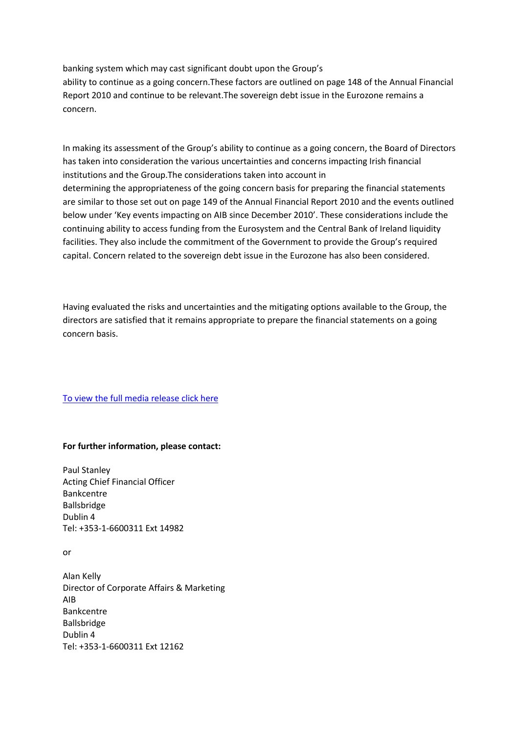banking system which may cast significant doubt upon the Group's ability to continue as a going concern.These factors are outlined on page 148 of the Annual Financial Report 2010 and continue to be relevant.The sovereign debt issue in the Eurozone remains a concern.

In making its assessment of the Group's ability to continue as a going concern, the Board of Directors has taken into consideration the various uncertainties and concerns impacting Irish financial institutions and the Group.The considerations taken into account in determining the appropriateness of the going concern basis for preparing the financial statements are similar to those set out on page 149 of the Annual Financial Report 2010 and the events outlined below under 'Key events impacting on AIB since December 2010'. These considerations include the continuing ability to access funding from the Eurosystem and the Central Bank of Ireland liquidity facilities. They also include the commitment of the Government to provide the Group's required capital. Concern related to the sovereign debt issue in the Eurozone has also been considered.

Having evaluated the risks and uncertainties and the mitigating options available to the Group, the directors are satisfied that it remains appropriate to prepare the financial statements on a going concern basis.

[To view the full media release click here](http://www.aib.ie/servlet/ContentServer?pagename=AIB_Investor_Relations/AIB_Download/aib_d_download&c=AIB_Download&cid=1308217196471&channel=IRFP)

#### **For further information, please contact:**

Paul Stanley Acting Chief Financial Officer Bankcentre Ballsbridge Dublin 4 Tel: +353-1-6600311 Ext 14982

or

Alan Kelly Director of Corporate Affairs & Marketing AIB Bankcentre Ballsbridge Dublin 4 Tel: +353-1-6600311 Ext 12162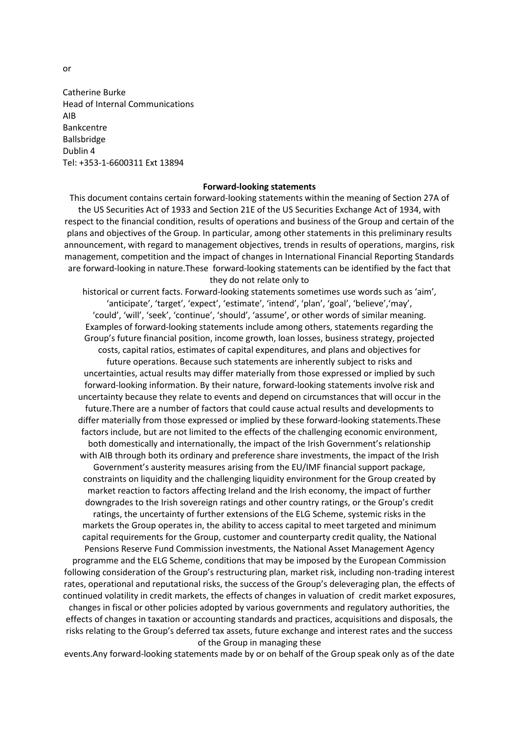Catherine Burke Head of Internal Communications AIB Bankcentre Ballsbridge Dublin 4 Tel: +353-1-6600311 Ext 13894

#### **Forward-looking statements**

This document contains certain forward-looking statements within the meaning of Section 27A of the US Securities Act of 1933 and Section 21E of the US Securities Exchange Act of 1934, with respect to the financial condition, results of operations and business of the Group and certain of the plans and objectives of the Group. In particular, among other statements in this preliminary results announcement, with regard to management objectives, trends in results of operations, margins, risk management, competition and the impact of changes in International Financial Reporting Standards are forward-looking in nature.These forward-looking statements can be identified by the fact that they do not relate only to

historical or current facts. Forward-looking statements sometimes use words such as 'aim', 'anticipate', 'target', 'expect', 'estimate', 'intend', 'plan', 'goal', 'believe','may', 'could', 'will', 'seek', 'continue', 'should', 'assume', or other words of similar meaning. Examples of forward-looking statements include among others, statements regarding the Group's future financial position, income growth, loan losses, business strategy, projected costs, capital ratios, estimates of capital expenditures, and plans and objectives for future operations. Because such statements are inherently subject to risks and uncertainties, actual results may differ materially from those expressed or implied by such forward-looking information. By their nature, forward-looking statements involve risk and uncertainty because they relate to events and depend on circumstances that will occur in the future.There are a number of factors that could cause actual results and developments to differ materially from those expressed or implied by these forward-looking statements.These factors include, but are not limited to the effects of the challenging economic environment, both domestically and internationally, the impact of the Irish Government's relationship with AIB through both its ordinary and preference share investments, the impact of the Irish Government's austerity measures arising from the EU/IMF financial support package, constraints on liquidity and the challenging liquidity environment for the Group created by market reaction to factors affecting Ireland and the Irish economy, the impact of further downgrades to the Irish sovereign ratings and other country ratings, or the Group's credit ratings, the uncertainty of further extensions of the ELG Scheme, systemic risks in the markets the Group operates in, the ability to access capital to meet targeted and minimum capital requirements for the Group, customer and counterparty credit quality, the National Pensions Reserve Fund Commission investments, the National Asset Management Agency programme and the ELG Scheme, conditions that may be imposed by the European Commission following consideration of the Group's restructuring plan, market risk, including non-trading interest rates, operational and reputational risks, the success of the Group's deleveraging plan, the effects of continued volatility in credit markets, the effects of changes in valuation of credit market exposures, changes in fiscal or other policies adopted by various governments and regulatory authorities, the effects of changes in taxation or accounting standards and practices, acquisitions and disposals, the risks relating to the Group's deferred tax assets, future exchange and interest rates and the success of the Group in managing these

events.Any forward-looking statements made by or on behalf of the Group speak only as of the date

or